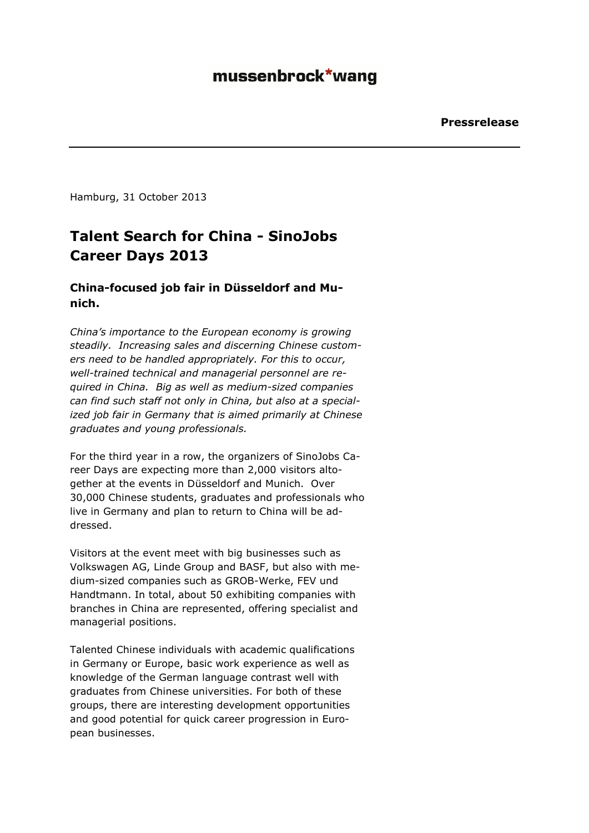Hamburg, 31 October 2013

## **Talent Search for China - SinoJobs Career Days 2013**

## **China-focused job fair in Düsseldorf and Munich.**

*China's importance to the European economy is growing steadily. Increasing sales and discerning Chinese customers need to be handled appropriately. For this to occur, well-trained technical and managerial personnel are required in China. Big as well as medium-sized companies can find such staff not only in China, but also at a specialized job fair in Germany that is aimed primarily at Chinese graduates and young professionals.* 

For the third year in a row, the organizers of SinoJobs Career Days are expecting more than 2,000 visitors altogether at the events in Düsseldorf and Munich. Over 30,000 Chinese students, graduates and professionals who live in Germany and plan to return to China will be addressed.

Visitors at the event meet with big businesses such as Volkswagen AG, Linde Group and BASF, but also with medium-sized companies such as GROB-Werke, FEV und Handtmann. In total, about 50 exhibiting companies with branches in China are represented, offering specialist and managerial positions.

Talented Chinese individuals with academic qualifications in Germany or Europe, basic work experience as well as knowledge of the German language contrast well with graduates from Chinese universities. For both of these groups, there are interesting development opportunities and good potential for quick career progression in European businesses.